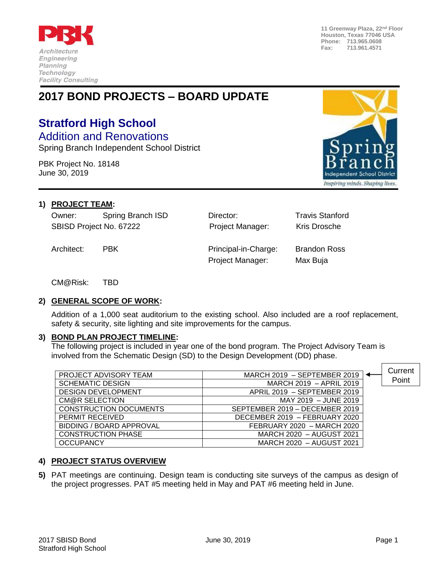

**11 Greenway Plaza, 22nd Floor Houston, Texas 77046 USA Phone: 713.965.0608 Fax: 713.961.4571**

# **2017 BOND PROJECTS – BOARD UPDATE**

## **Stratford High School** Addition and Renovations

Spring Branch Independent School District

PBK Project No. 18148 June 30, 2019



#### **1) PROJECT TEAM:**

Owner: Spring Branch ISD Director: Travis Stanford SBISD Project No. 67222 **Project Manager:** Kris Drosche

Architect: PBK Principal-in-Charge: Brandon Ross Project Manager: Max Buja

CM@Risk: TBD

#### **2) GENERAL SCOPE OF WORK:**

Addition of a 1,000 seat auditorium to the existing school. Also included are a roof replacement, safety & security, site lighting and site improvements for the campus.

#### **3) BOND PLAN PROJECT TIMELINE:**

The following project is included in year one of the bond program. The Project Advisory Team is involved from the Schematic Design (SD) to the Design Development (DD) phase.

|                               |                                | Current |
|-------------------------------|--------------------------------|---------|
| PROJECT ADVISORY TEAM         | MARCH 2019 - SEPTEMBER 2019    |         |
| <b>SCHEMATIC DESIGN</b>       | MARCH 2019 - APRIL 2019        | Point   |
| <b>DESIGN DEVELOPMENT</b>     | APRIL 2019 - SEPTEMBER 2019    |         |
| CM@R SELECTION                | MAY 2019 - JUNE 2019           |         |
| <b>CONSTRUCTION DOCUMENTS</b> | SEPTEMBER 2019 - DECEMBER 2019 |         |
| PERMIT RECEIVED               | DECEMBER 2019 - FEBRUARY 2020  |         |
| BIDDING / BOARD APPROVAL      | FEBRUARY 2020 - MARCH 2020     |         |
| <b>CONSTRUCTION PHASE</b>     | MARCH 2020 - AUGUST 2021       |         |
| <b>OCCUPANCY</b>              | MARCH 2020 - AUGUST 2021       |         |

### **4) PROJECT STATUS OVERVIEW**

**5)** PAT meetings are continuing. Design team is conducting site surveys of the campus as design of the project progresses. PAT #5 meeting held in May and PAT #6 meeting held in June.